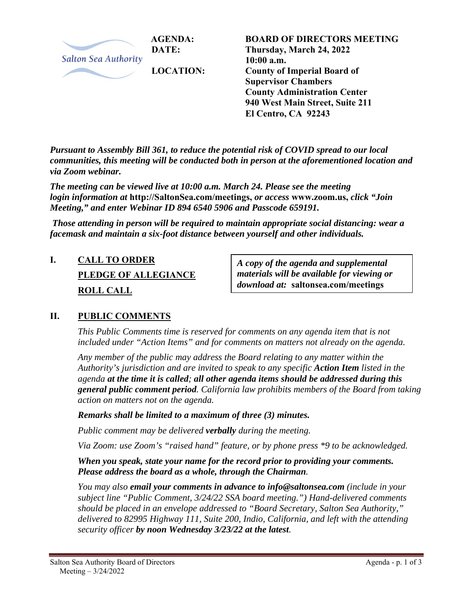

**BOARD OF DIRECTORS MEETING Thursday, March 24, 2022 10:00 a.m. County of Imperial Board of Supervisor Chambers County Administration Center 940 West Main Street, Suite 211 El Centro, CA 92243** 

*Pursuant to Assembly Bill 361, to reduce the potential risk of COVID spread to our local communities, this meeting will be conducted both in person at the aforementioned location and via Zoom webinar.* 

*The meeting can be viewed live at 10:00 a.m. March 24. Please see the meeting login information at* **http://SaltonSea.com/meetings,** *or access* **www.zoom.us,** *click "Join Meeting," and enter Webinar ID 894 6540 5906 and Passcode 659191.* 

 *Those attending in person will be required to maintain appropriate social distancing: wear a facemask and maintain a six-foot distance between yourself and other individuals.* 

# **I. CALL TO ORDER PLEDGE OF ALLEGIANCE ROLL CALL**

*A copy of the agenda and supplemental materials will be available for viewing or download at:* **saltonsea.com/meetings**

### **II. PUBLIC COMMENTS**

*This Public Comments time is reserved for comments on any agenda item that is not included under "Action Items" and for comments on matters not already on the agenda.* 

*Any member of the public may address the Board relating to any matter within the Authority's jurisdiction and are invited to speak to any specific Action Item listed in the agenda at the time it is called; all other agenda items should be addressed during this general public comment period. California law prohibits members of the Board from taking action on matters not on the agenda.* 

*Remarks shall be limited to a maximum of three (3) minutes.* 

*Public comment may be delivered verbally during the meeting.* 

*Via Zoom: use Zoom's "raised hand" feature, or by phone press \*9 to be acknowledged.* 

*When you speak, state your name for the record prior to providing your comments. Please address the board as a whole, through the Chairman.* 

*You may also email your comments in advance to info@saltonsea.com (include in your subject line "Public Comment, 3/24/22 SSA board meeting.") Hand-delivered comments should be placed in an envelope addressed to "Board Secretary, Salton Sea Authority," delivered to 82995 Highway 111, Suite 200, Indio, California, and left with the attending security officer by noon Wednesday 3/23/22 at the latest.*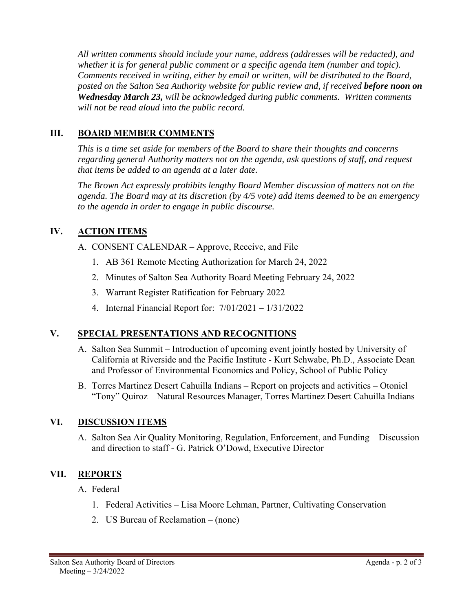*All written comments should include your name, address (addresses will be redacted), and whether it is for general public comment or a specific agenda item (number and topic). Comments received in writing, either by email or written, will be distributed to the Board, posted on the Salton Sea Authority website for public review and, if received before noon on Wednesday March 23, will be acknowledged during public comments. Written comments will not be read aloud into the public record.* 

## **III. BOARD MEMBER COMMENTS**

*This is a time set aside for members of the Board to share their thoughts and concerns regarding general Authority matters not on the agenda, ask questions of staff, and request that items be added to an agenda at a later date.* 

*The Brown Act expressly prohibits lengthy Board Member discussion of matters not on the agenda. The Board may at its discretion (by 4/5 vote) add items deemed to be an emergency to the agenda in order to engage in public discourse.* 

# **IV. ACTION ITEMS**

- A. CONSENT CALENDAR Approve, Receive, and File
	- 1. AB 361 Remote Meeting Authorization for March 24, 2022
	- 2. Minutes of Salton Sea Authority Board Meeting February 24, 2022
	- 3. Warrant Register Ratification for February 2022
	- 4. Internal Financial Report for: 7/01/2021 1/31/2022

### **V. SPECIAL PRESENTATIONS AND RECOGNITIONS**

- A. Salton Sea Summit Introduction of upcoming event jointly hosted by University of California at Riverside and the Pacific Institute - Kurt Schwabe, Ph.D., Associate Dean and Professor of Environmental Economics and Policy, School of Public Policy
- B. Torres Martinez Desert Cahuilla Indians Report on projects and activities Otoniel "Tony" Quiroz – Natural Resources Manager, Torres Martinez Desert Cahuilla Indians

### **VI. DISCUSSION ITEMS**

A. Salton Sea Air Quality Monitoring, Regulation, Enforcement, and Funding – Discussion and direction to staff - G. Patrick O'Dowd, Executive Director

# **VII. REPORTS**

- A. Federal
	- 1. Federal Activities Lisa Moore Lehman, Partner, Cultivating Conservation
	- 2. US Bureau of Reclamation (none)